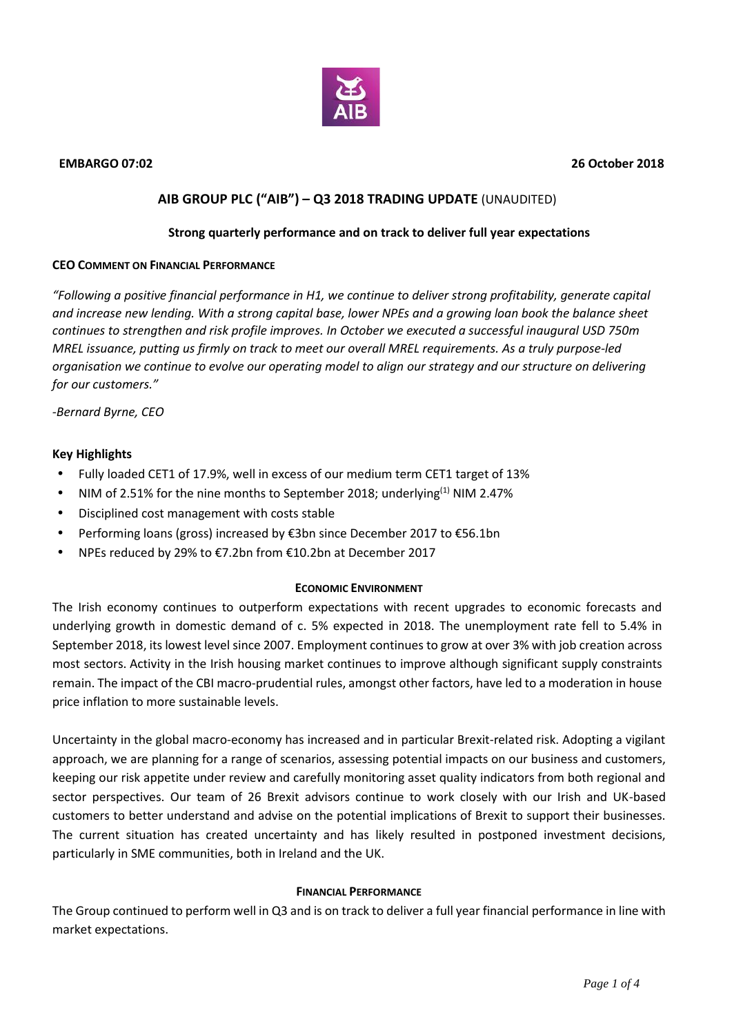

# **AIB GROUP PLC ("AIB") – Q3 2018 TRADING UPDATE** (UNAUDITED)

### **Strong quarterly performance and on track to deliver full year expectations**

#### **CEO COMMENT ON FINANCIAL PERFORMANCE**

*"Following a positive financial performance in H1, we continue to deliver strong profitability, generate capital and increase new lending. With a strong capital base, lower NPEs and a growing loan book the balance sheet continues to strengthen and risk profile improves. In October we executed a successful inaugural USD 750m MREL issuance, putting us firmly on track to meet our overall MREL requirements. As a truly purpose-led organisation we continue to evolve our operating model to align our strategy and our structure on delivering for our customers."*

*-Bernard Byrne, CEO*

#### **Key Highlights**

- Fully loaded CET1 of 17.9%, well in excess of our medium term CET1 target of 13%
- NIM of 2.51% for the nine months to September 2018; underlying<sup>(1)</sup> NIM 2.47%
- Disciplined cost management with costs stable
- Performing loans (gross) increased by €3bn since December 2017 to €56.1bn
- NPEs reduced by 29% to €7.2bn from €10.2bn at December 2017

#### **ECONOMIC ENVIRONMENT**

The Irish economy continues to outperform expectations with recent upgrades to economic forecasts and underlying growth in domestic demand of c. 5% expected in 2018. The unemployment rate fell to 5.4% in September 2018, its lowest level since 2007. Employment continues to grow at over 3% with job creation across most sectors. Activity in the Irish housing market continues to improve although significant supply constraints remain. The impact of the CBI macro-prudential rules, amongst other factors, have led to a moderation in house price inflation to more sustainable levels.

Uncertainty in the global macro-economy has increased and in particular Brexit-related risk. Adopting a vigilant approach, we are planning for a range of scenarios, assessing potential impacts on our business and customers, keeping our risk appetite under review and carefully monitoring asset quality indicators from both regional and sector perspectives. Our team of 26 Brexit advisors continue to work closely with our Irish and UK-based customers to better understand and advise on the potential implications of Brexit to support their businesses. The current situation has created uncertainty and has likely resulted in postponed investment decisions, particularly in SME communities, both in Ireland and the UK.

## **FINANCIAL PERFORMANCE**

The Group continued to perform well in Q3 and is on track to deliver a full year financial performance in line with market expectations.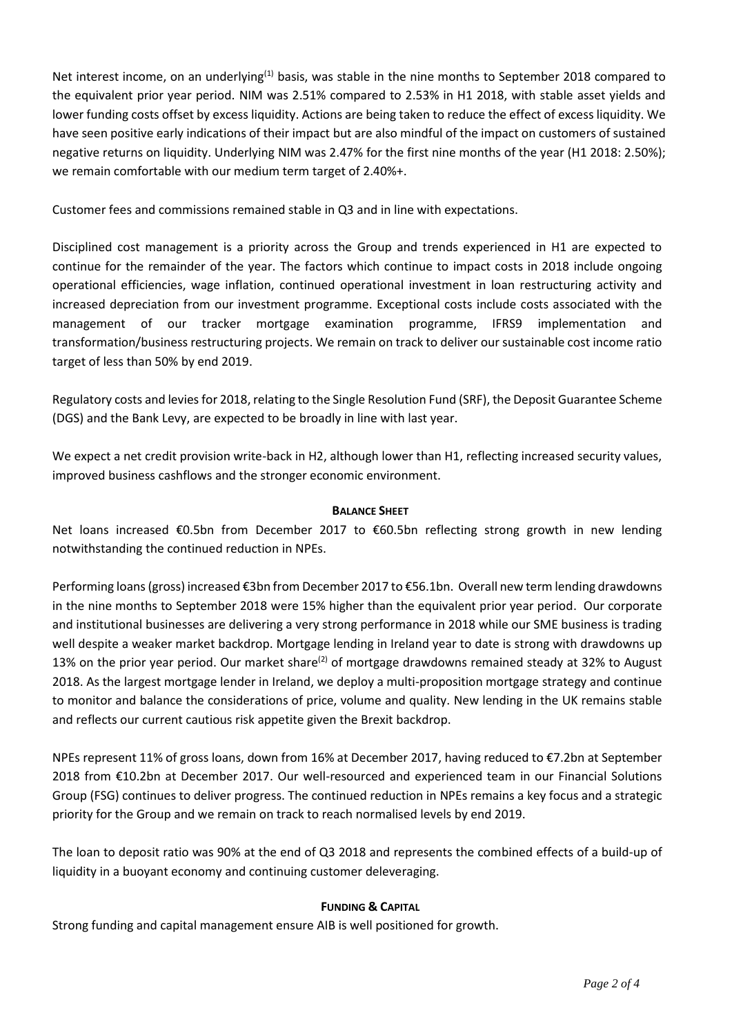Net interest income, on an underlying<sup>(1)</sup> basis, was stable in the nine months to September 2018 compared to the equivalent prior year period. NIM was 2.51% compared to 2.53% in H1 2018, with stable asset yields and lower funding costs offset by excess liquidity. Actions are being taken to reduce the effect of excess liquidity. We have seen positive early indications of their impact but are also mindful of the impact on customers of sustained negative returns on liquidity. Underlying NIM was 2.47% for the first nine months of the year (H1 2018: 2.50%); we remain comfortable with our medium term target of 2.40%+.

Customer fees and commissions remained stable in Q3 and in line with expectations.

Disciplined cost management is a priority across the Group and trends experienced in H1 are expected to continue for the remainder of the year. The factors which continue to impact costs in 2018 include ongoing operational efficiencies, wage inflation, continued operational investment in loan restructuring activity and increased depreciation from our investment programme. Exceptional costs include costs associated with the management of our tracker mortgage examination programme, IFRS9 implementation and transformation/business restructuring projects. We remain on track to deliver our sustainable cost income ratio target of less than 50% by end 2019.

Regulatory costs and levies for 2018, relating to the Single Resolution Fund (SRF), the Deposit Guarantee Scheme (DGS) and the Bank Levy, are expected to be broadly in line with last year.

We expect a net credit provision write-back in H2, although lower than H1, reflecting increased security values, improved business cashflows and the stronger economic environment.

## **BALANCE SHEET**

Net loans increased €0.5bn from December 2017 to €60.5bn reflecting strong growth in new lending notwithstanding the continued reduction in NPEs.

Performing loans (gross) increased €3bn from December 2017 to €56.1bn. Overall new term lending drawdowns in the nine months to September 2018 were 15% higher than the equivalent prior year period. Our corporate and institutional businesses are delivering a very strong performance in 2018 while our SME business is trading well despite a weaker market backdrop. Mortgage lending in Ireland year to date is strong with drawdowns up 13% on the prior year period. Our market share<sup>(2)</sup> of mortgage drawdowns remained steady at 32% to August 2018. As the largest mortgage lender in Ireland, we deploy a multi-proposition mortgage strategy and continue to monitor and balance the considerations of price, volume and quality. New lending in the UK remains stable and reflects our current cautious risk appetite given the Brexit backdrop.

NPEs represent 11% of gross loans, down from 16% at December 2017, having reduced to €7.2bn at September 2018 from €10.2bn at December 2017. Our well-resourced and experienced team in our Financial Solutions Group (FSG) continues to deliver progress. The continued reduction in NPEs remains a key focus and a strategic priority for the Group and we remain on track to reach normalised levels by end 2019.

The loan to deposit ratio was 90% at the end of Q3 2018 and represents the combined effects of a build-up of liquidity in a buoyant economy and continuing customer deleveraging.

## **FUNDING & CAPITAL**

Strong funding and capital management ensure AIB is well positioned for growth.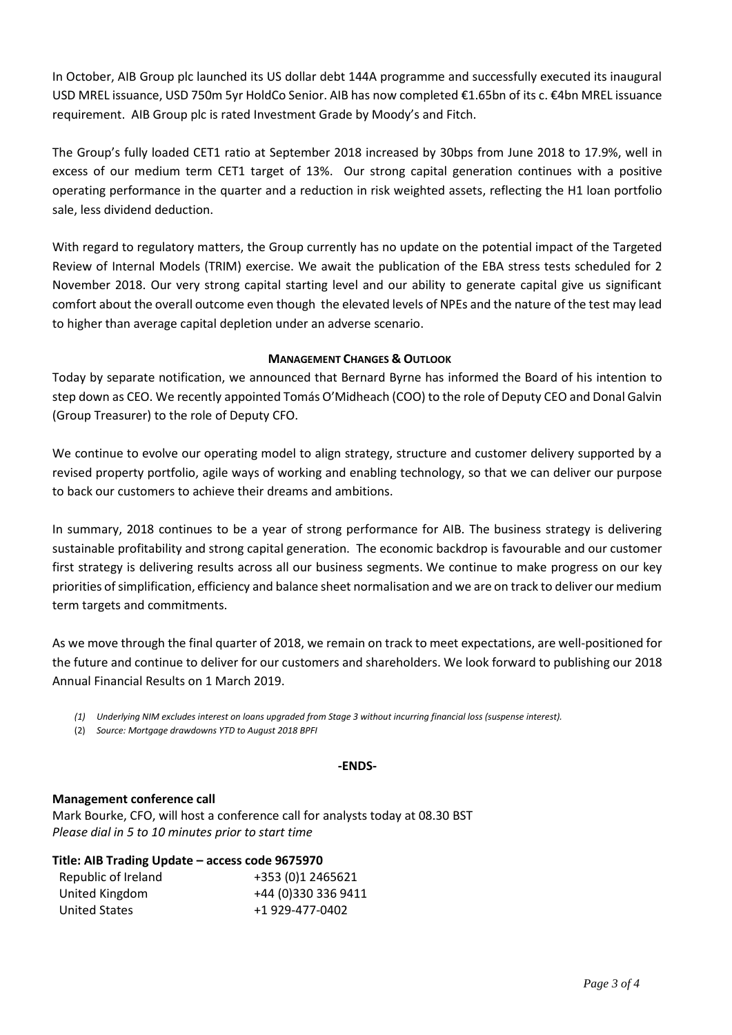In October, AIB Group plc launched its US dollar debt 144A programme and successfully executed its inaugural USD MREL issuance, USD 750m 5yr HoldCo Senior. AIB has now completed €1.65bn of its c. €4bn MREL issuance requirement. AIB Group plc is rated Investment Grade by Moody's and Fitch.

The Group's fully loaded CET1 ratio at September 2018 increased by 30bps from June 2018 to 17.9%, well in excess of our medium term CET1 target of 13%. Our strong capital generation continues with a positive operating performance in the quarter and a reduction in risk weighted assets, reflecting the H1 loan portfolio sale, less dividend deduction.

With regard to regulatory matters, the Group currently has no update on the potential impact of the Targeted Review of Internal Models (TRIM) exercise. We await the publication of the EBA stress tests scheduled for 2 November 2018. Our very strong capital starting level and our ability to generate capital give us significant comfort about the overall outcome even though the elevated levels of NPEs and the nature of the test may lead to higher than average capital depletion under an adverse scenario.

## **MANAGEMENT CHANGES & OUTLOOK**

Today by separate notification, we announced that Bernard Byrne has informed the Board of his intention to step down as CEO. We recently appointed Tomás O'Midheach (COO) to the role of Deputy CEO and Donal Galvin (Group Treasurer) to the role of Deputy CFO.

We continue to evolve our operating model to align strategy, structure and customer delivery supported by a revised property portfolio, agile ways of working and enabling technology, so that we can deliver our purpose to back our customers to achieve their dreams and ambitions.

In summary, 2018 continues to be a year of strong performance for AIB. The business strategy is delivering sustainable profitability and strong capital generation. The economic backdrop is favourable and our customer first strategy is delivering results across all our business segments. We continue to make progress on our key priorities of simplification, efficiency and balance sheet normalisation and we are on track to deliver our medium term targets and commitments.

As we move through the final quarter of 2018, we remain on track to meet expectations, are well-positioned for the future and continue to deliver for our customers and shareholders. We look forward to publishing our 2018 Annual Financial Results on 1 March 2019.

- *(1) Underlying NIM excludes interest on loans upgraded from Stage 3 without incurring financial loss (suspense interest).*
- (2) *Source: Mortgage drawdowns YTD to August 2018 BPFI*

## **-ENDS-**

## **Management conference call**

Mark Bourke, CFO, will host a conference call for analysts today at 08.30 BST *Please dial in 5 to 10 minutes prior to start time*

| Title: AIB Trading Update - access code 9675970 |  |
|-------------------------------------------------|--|
|-------------------------------------------------|--|

| Republic of Ireland | +353 (0)1 2465621   |
|---------------------|---------------------|
| United Kingdom      | +44 (0)330 336 9411 |
| United States       | +1 929-477-0402     |